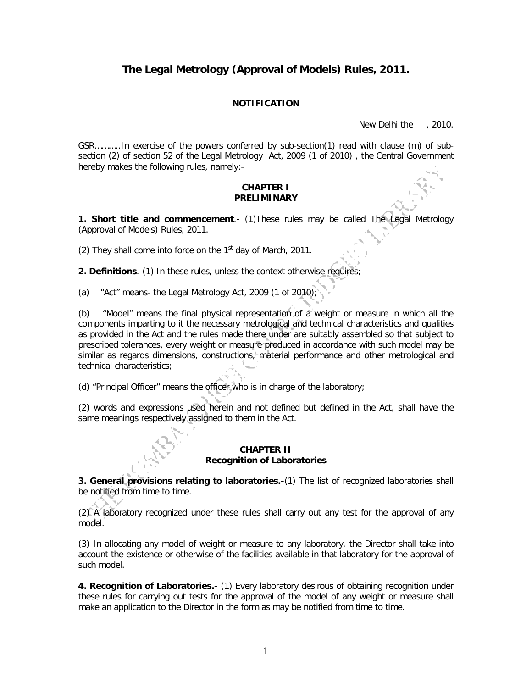# **The Legal Metrology (Approval of Models) Rules, 2011.**

# **NOTIFICATION**

New Delhi the , 2010.

GSR………..In exercise of the powers conferred by sub-section(1) read with clause (m) of subsection (2) of section 52 of the Legal Metrology Act, 2009 (1 of 2010) , the Central Government hereby makes the following rules, namely:-

## **CHAPTER I PRELIMINARY**

**1. Short title and commencement.**- (1)These rules may be called The Legal Metrology (Approval of Models) Rules, 2011.

(2) They shall come into force on the  $1<sup>st</sup>$  day of March, 2011.

**2. Definitions**.-(1) In these rules, unless the context otherwise requires;-

(a) "Act" means- the Legal Metrology Act, 2009 (1 of 2010);

(b) "Model" means the final physical representation of a weight or measure in which all the components imparting to it the necessary metrological and technical characteristics and qualities as provided in the Act and the rules made there under are suitably assembled so that subject to prescribed tolerances, every weight or measure produced in accordance with such model may be similar as regards dimensions, constructions, material performance and other metrological and technical characteristics;

(d) "Principal Officer" means the officer who is in charge of the laboratory;

(2) words and expressions used herein and not defined but defined in the Act, shall have the same meanings respectively assigned to them in the Act.

## **CHAPTER II Recognition of Laboratories**

**3. General provisions relating to laboratories.-**(1) The list of recognized laboratories shall be notified from time to time.

(2) A laboratory recognized under these rules shall carry out any test for the approval of any model.

(3) In allocating any model of weight or measure to any laboratory, the Director shall take into account the existence or otherwise of the facilities available in that laboratory for the approval of such model.

**4. Recognition of Laboratories.-** (1) Every laboratory desirous of obtaining recognition under these rules for carrying out tests for the approval of the model of any weight or measure shall make an application to the Director in the form as may be notified from time to time.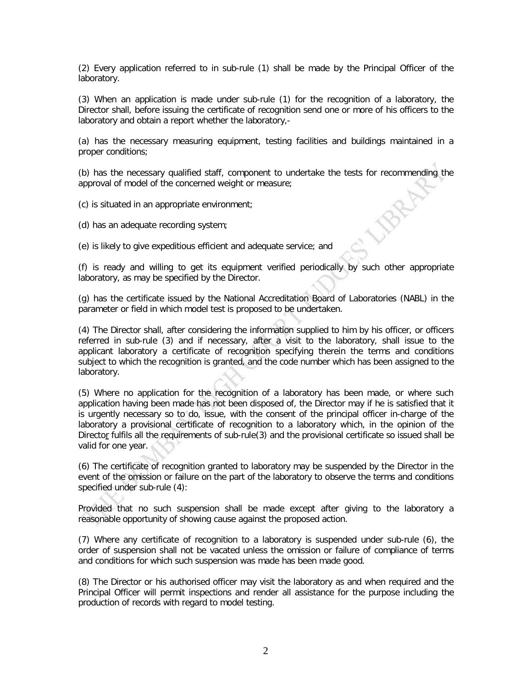(2) Every application referred to in sub-rule (1) shall be made by the Principal Officer of the laboratory.

(3) When an application is made under sub-rule (1) for the recognition of a laboratory, the Director shall, before issuing the certificate of recognition send one or more of his officers to the laboratory and obtain a report whether the laboratory,-

(a) has the necessary measuring equipment, testing facilities and buildings maintained in a proper conditions;

(b) has the necessary qualified staff, component to undertake the tests for recommending the approval of model of the concerned weight or measure; **PRAD** 

(c) is situated in an appropriate environment;

(d) has an adequate recording system;

(e) is likely to give expeditious efficient and adequate service; and

(f) is ready and willing to get its equipment verified periodically by such other appropriate laboratory, as may be specified by the Director.

(g) has the certificate issued by the National Accreditation Board of Laboratories (NABL) in the parameter or field in which model test is proposed to be undertaken.

(4) The Director shall, after considering the information supplied to him by his officer, or officers referred in sub-rule (3) and if necessary, after a visit to the laboratory, shall issue to the applicant laboratory a certificate of recognition specifying therein the terms and conditions subject to which the recognition is granted, and the code number which has been assigned to the laboratory.

(5) Where no application for the recognition of a laboratory has been made, or where such application having been made has not been disposed of, the Director may if he is satisfied that it is urgently necessary so to do, issue, with the consent of the principal officer in-charge of the laboratory a provisional certificate of recognition to a laboratory which, in the opinion of the Director fulfils all the requirements of sub-rule(3) and the provisional certificate so issued shall be valid for one year.

(6) The certificate of recognition granted to laboratory may be suspended by the Director in the event of the omission or failure on the part of the laboratory to observe the terms and conditions specified under sub-rule (4):

Provided that no such suspension shall be made except after giving to the laboratory a reasonable opportunity of showing cause against the proposed action.

(7) Where any certificate of recognition to a laboratory is suspended under sub-rule (6), the order of suspension shall not be vacated unless the omission or failure of compliance of terms and conditions for which such suspension was made has been made good.

(8) The Director or his authorised officer may visit the laboratory as and when required and the Principal Officer will permit inspections and render all assistance for the purpose including the production of records with regard to model testing.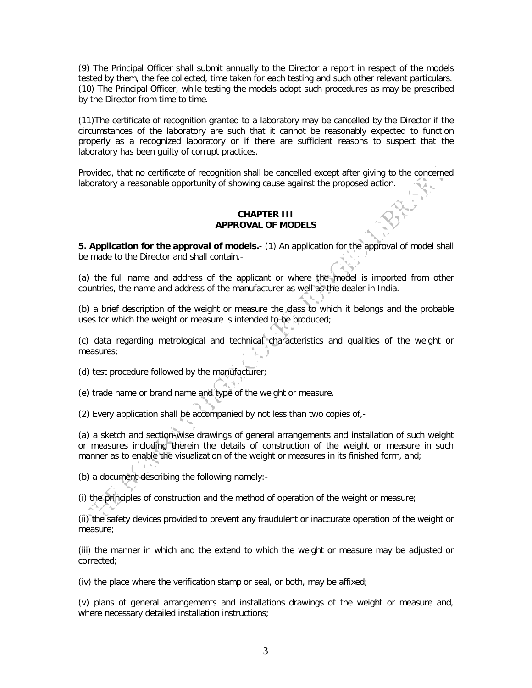(9) The Principal Officer shall submit annually to the Director a report in respect of the models tested by them, the fee collected, time taken for each testing and such other relevant particulars. (10) The Principal Officer, while testing the models adopt such procedures as may be prescribed by the Director from time to time.

(11)The certificate of recognition granted to a laboratory may be cancelled by the Director if the circumstances of the laboratory are such that it cannot be reasonably expected to function properly as a recognized laboratory or if there are sufficient reasons to suspect that the laboratory has been guilty of corrupt practices.

Provided, that no certificate of recognition shall be cancelled except after giving to the concerned laboratory a reasonable opportunity of showing cause against the proposed action.

## **CHAPTER III APPROVAL OF MODELS**

**5. Application for the approval of models.**- (1) An application for the approval of model shall be made to the Director and shall contain.-

(a) the full name and address of the applicant or where the model is imported from other countries, the name and address of the manufacturer as well as the dealer in India.

(b) a brief description of the weight or measure the class to which it belongs and the probable uses for which the weight or measure is intended to be produced;

(c) data regarding metrological and technical characteristics and qualities of the weight or measures;

(d) test procedure followed by the manufacturer;

(e) trade name or brand name and type of the weight or measure.

(2) Every application shall be accompanied by not less than two copies of,-

(a) a sketch and section-wise drawings of general arrangements and installation of such weight or measures including therein the details of construction of the weight or measure in such manner as to enable the visualization of the weight or measures in its finished form, and;

(b) a document describing the following namely:-

(i) the principles of construction and the method of operation of the weight or measure;

(ii) the safety devices provided to prevent any fraudulent or inaccurate operation of the weight or measure;

(iii) the manner in which and the extend to which the weight or measure may be adjusted or corrected;

(iv) the place where the verification stamp or seal, or both, may be affixed;

(v) plans of general arrangements and installations drawings of the weight or measure and, where necessary detailed installation instructions;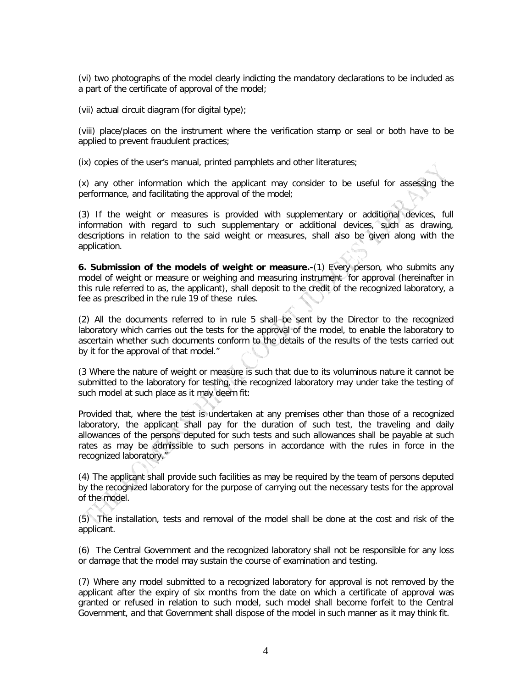(vi) two photographs of the model clearly indicting the mandatory declarations to be included as a part of the certificate of approval of the model;

(vii) actual circuit diagram (for digital type);

(viii) place/places on the instrument where the verification stamp or seal or both have to be applied to prevent fraudulent practices;

(ix) copies of the user's manual, printed pamphlets and other literatures;

(x) any other information which the applicant may consider to be useful for assessing the performance, and facilitating the approval of the model;

(3) If the weight or measures is provided with supplementary or additional devices, full information with regard to such supplementary or additional devices, such as drawing, descriptions in relation to the said weight or measures, shall also be given along with the application.

**6. Submission of the models of weight or measure.-**(1) Every person, who submits any model of weight or measure or weighing and measuring instrument for approval (hereinafter in this rule referred to as, the applicant), shall deposit to the credit of the recognized laboratory, a fee as prescribed in the rule 19 of these rules.

(2) All the documents referred to in rule 5 shall be sent by the Director to the recognized laboratory which carries out the tests for the approval of the model, to enable the laboratory to ascertain whether such documents conform to the details of the results of the tests carried out by it for the approval of that model."

(3 Where the nature of weight or measure is such that due to its voluminous nature it cannot be submitted to the laboratory for testing, the recognized laboratory may under take the testing of such model at such place as it may deem fit:

Provided that, where the test is undertaken at any premises other than those of a recognized laboratory, the applicant shall pay for the duration of such test, the traveling and daily allowances of the persons deputed for such tests and such allowances shall be payable at such rates as may be admissible to such persons in accordance with the rules in force in the recognized laboratory."

(4) The applicant shall provide such facilities as may be required by the team of persons deputed by the recognized laboratory for the purpose of carrying out the necessary tests for the approval of the model.

(5) The installation, tests and removal of the model shall be done at the cost and risk of the applicant.

(6) The Central Government and the recognized laboratory shall not be responsible for any loss or damage that the model may sustain the course of examination and testing.

(7) Where any model submitted to a recognized laboratory for approval is not removed by the applicant after the expiry of six months from the date on which a certificate of approval was granted or refused in relation to such model, such model shall become forfeit to the Central Government, and that Government shall dispose of the model in such manner as it may think fit.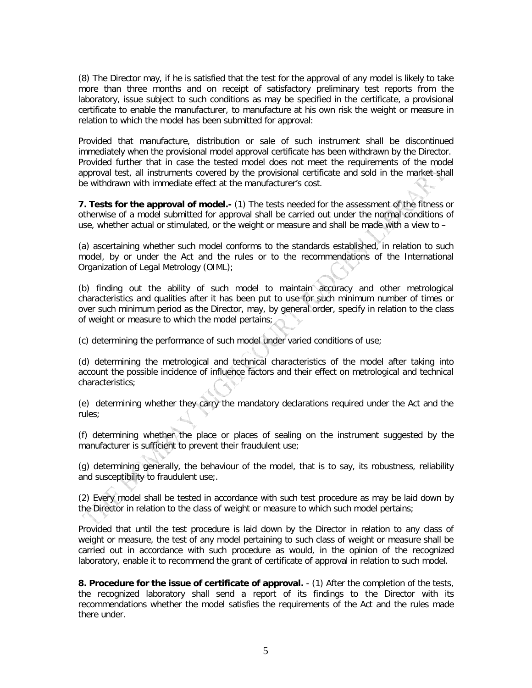(8) The Director may, if he is satisfied that the test for the approval of any model is likely to take more than three months and on receipt of satisfactory preliminary test reports from the laboratory, issue subject to such conditions as may be specified in the certificate, a provisional certificate to enable the manufacturer, to manufacture at his own risk the weight or measure in relation to which the model has been submitted for approval:

Provided that manufacture, distribution or sale of such instrument shall be discontinued immediately when the provisional model approval certificate has been withdrawn by the Director. Provided further that in case the tested model does not meet the requirements of the model approval test, all instruments covered by the provisional certificate and sold in the market shall be withdrawn with immediate effect at the manufacturer's cost.

**7. Tests for the approval of model.-** (1) The tests needed for the assessment of the fitness or otherwise of a model submitted for approval shall be carried out under the normal conditions of use, whether actual or stimulated, or the weight or measure and shall be made with a view to –

(a) ascertaining whether such model conforms to the standards established, in relation to such model, by or under the Act and the rules or to the recommendations of the International Organization of Legal Metrology (OIML);

(b) finding out the ability of such model to maintain accuracy and other metrological characteristics and qualities after it has been put to use for such minimum number of times or over such minimum period as the Director, may, by general order, specify in relation to the class of weight or measure to which the model pertains;

(c) determining the performance of such model under varied conditions of use;

(d) determining the metrological and technical characteristics of the model after taking into account the possible incidence of influence factors and their effect on metrological and technical characteristics;

(e) determining whether they carry the mandatory declarations required under the Act and the rules;

(f) determining whether the place or places of sealing on the instrument suggested by the manufacturer is sufficient to prevent their fraudulent use;

(g) determining generally, the behaviour of the model, that is to say, its robustness, reliability and susceptibility to fraudulent use;.

(2) Every model shall be tested in accordance with such test procedure as may be laid down by the Director in relation to the class of weight or measure to which such model pertains;

Provided that until the test procedure is laid down by the Director in relation to any class of weight or measure, the test of any model pertaining to such class of weight or measure shall be carried out in accordance with such procedure as would, in the opinion of the recognized laboratory, enable it to recommend the grant of certificate of approval in relation to such model.

**8. Procedure for the issue of certificate of approval.** - (1) After the completion of the tests, the recognized laboratory shall send a report of its findings to the Director with its recommendations whether the model satisfies the requirements of the Act and the rules made there under.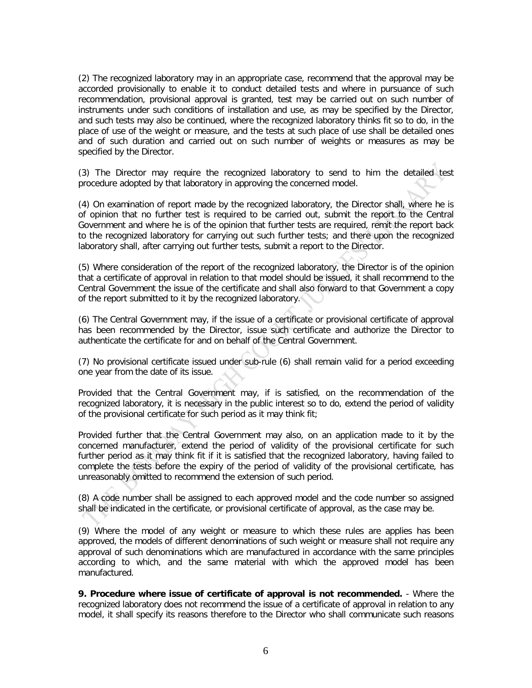(2) The recognized laboratory may in an appropriate case, recommend that the approval may be accorded provisionally to enable it to conduct detailed tests and where in pursuance of such recommendation, provisional approval is granted, test may be carried out on such number of instruments under such conditions of installation and use, as may be specified by the Director, and such tests may also be continued, where the recognized laboratory thinks fit so to do, in the place of use of the weight or measure, and the tests at such place of use shall be detailed ones and of such duration and carried out on such number of weights or measures as may be specified by the Director.

(3) The Director may require the recognized laboratory to send to him the detailed test procedure adopted by that laboratory in approving the concerned model.

(4) On examination of report made by the recognized laboratory, the Director shall, where he is of opinion that no further test is required to be carried out, submit the report to the Central Government and where he is of the opinion that further tests are required, remit the report back to the recognized laboratory for carrying out such further tests; and there upon the recognized laboratory shall, after carrying out further tests, submit a report to the Director.

(5) Where consideration of the report of the recognized laboratory, the Director is of the opinion that a certificate of approval in relation to that model should be issued, it shall recommend to the Central Government the issue of the certificate and shall also forward to that Government a copy of the report submitted to it by the recognized laboratory.

(6) The Central Government may, if the issue of a certificate or provisional certificate of approval has been recommended by the Director, issue such certificate and authorize the Director to authenticate the certificate for and on behalf of the Central Government.

(7) No provisional certificate issued under sub-rule (6) shall remain valid for a period exceeding one year from the date of its issue.

Provided that the Central Government may, if is satisfied, on the recommendation of the recognized laboratory, it is necessary in the public interest so to do, extend the period of validity of the provisional certificate for such period as it may think fit;

Provided further that the Central Government may also, on an application made to it by the concerned manufacturer, extend the period of validity of the provisional certificate for such further period as it may think fit if it is satisfied that the recognized laboratory, having failed to complete the tests before the expiry of the period of validity of the provisional certificate, has unreasonably omitted to recommend the extension of such period.

(8) A code number shall be assigned to each approved model and the code number so assigned shall be indicated in the certificate, or provisional certificate of approval, as the case may be.

(9) Where the model of any weight or measure to which these rules are applies has been approved, the models of different denominations of such weight or measure shall not require any approval of such denominations which are manufactured in accordance with the same principles according to which, and the same material with which the approved model has been manufactured.

**9. Procedure where issue of certificate of approval is not recommended.** - Where the recognized laboratory does not recommend the issue of a certificate of approval in relation to any model, it shall specify its reasons therefore to the Director who shall communicate such reasons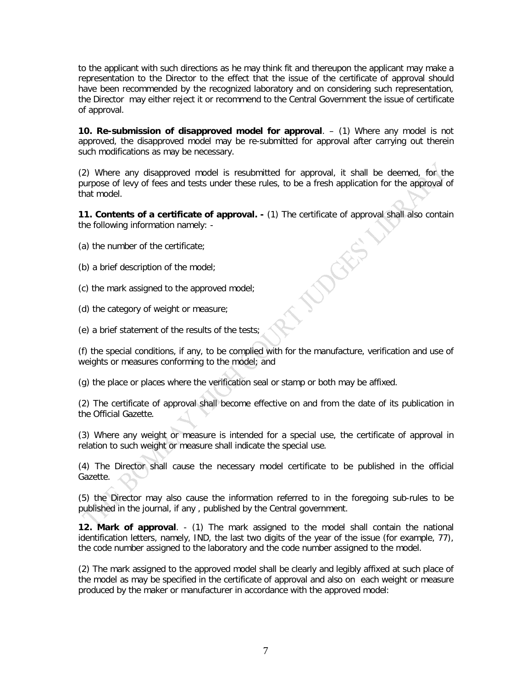to the applicant with such directions as he may think fit and thereupon the applicant may make a representation to the Director to the effect that the issue of the certificate of approval should have been recommended by the recognized laboratory and on considering such representation, the Director may either reject it or recommend to the Central Government the issue of certificate of approval.

**10. Re-submission of disapproved model for approval**. – (1) Where any model is not approved, the disapproved model may be re-submitted for approval after carrying out therein such modifications as may be necessary.

(2) Where any disapproved model is resubmitted for approval, it shall be deemed, for the purpose of levy of fees and tests under these rules, to be a fresh application for the approval of that model

**11. Contents of a certificate of approval. -** (1) The certificate of approval shall also contain the following information namely: -

**NOOKE** 

- (a) the number of the certificate;
- (b) a brief description of the model;
- (c) the mark assigned to the approved model;
- (d) the category of weight or measure;
- (e) a brief statement of the results of the tests;

(f) the special conditions, if any, to be complied with for the manufacture, verification and use of weights or measures conforming to the model; and

(g) the place or places where the verification seal or stamp or both may be affixed.

(2) The certificate of approval shall become effective on and from the date of its publication in the Official Gazette.

(3) Where any weight or measure is intended for a special use, the certificate of approval in relation to such weight or measure shall indicate the special use.

(4) The Director shall cause the necessary model certificate to be published in the official Gazette.

(5) the Director may also cause the information referred to in the foregoing sub-rules to be published in the journal, if any , published by the Central government.

**12. Mark of approval**. - (1) The mark assigned to the model shall contain the national identification letters, namely, IND, the last two digits of the year of the issue (for example, 77), the code number assigned to the laboratory and the code number assigned to the model.

(2) The mark assigned to the approved model shall be clearly and legibly affixed at such place of the model as may be specified in the certificate of approval and also on each weight or measure produced by the maker or manufacturer in accordance with the approved model: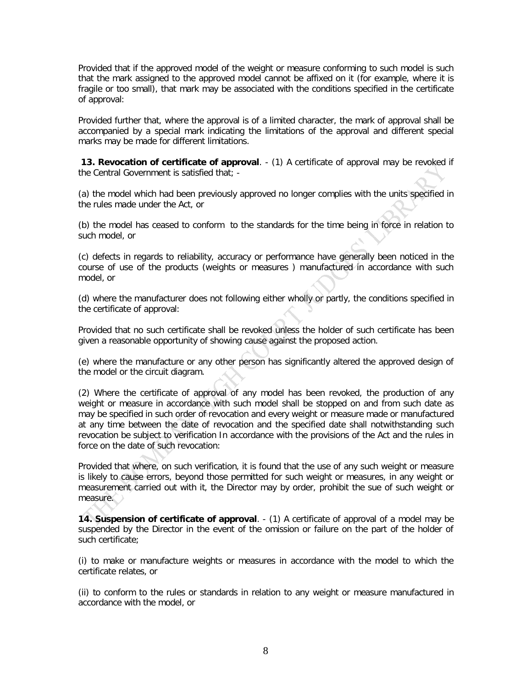Provided that if the approved model of the weight or measure conforming to such model is such that the mark assigned to the approved model cannot be affixed on it (for example, where it is fragile or too small), that mark may be associated with the conditions specified in the certificate of approval:

Provided further that, where the approval is of a limited character, the mark of approval shall be accompanied by a special mark indicating the limitations of the approval and different special marks may be made for different limitations.

**13. Revocation of certificate of approval**.  $-$  (1) A certificate of approval may be revoked if the Central Government is satisfied that; -

(a) the model which had been previously approved no longer complies with the units specified in the rules made under the Act, or

(b) the model has ceased to conform to the standards for the time being in force in relation to such model, or

(c) defects in regards to reliability, accuracy or performance have generally been noticed in the course of use of the products (weights or measures ) manufactured in accordance with such model, or

(d) where the manufacturer does not following either wholly or partly, the conditions specified in the certificate of approval:

Provided that no such certificate shall be revoked unless the holder of such certificate has been given a reasonable opportunity of showing cause against the proposed action.

(e) where the manufacture or any other person has significantly altered the approved design of the model or the circuit diagram.

(2) Where the certificate of approval of any model has been revoked, the production of any weight or measure in accordance with such model shall be stopped on and from such date as may be specified in such order of revocation and every weight or measure made or manufactured at any time between the date of revocation and the specified date shall notwithstanding such revocation be subject to verification In accordance with the provisions of the Act and the rules in force on the date of such revocation:

Provided that where, on such verification, it is found that the use of any such weight or measure is likely to cause errors, beyond those permitted for such weight or measures, in any weight or measurement carried out with it, the Director may by order, prohibit the sue of such weight or measure.

**14. Suspension of certificate of approval**. - (1) A certificate of approval of a model may be suspended by the Director in the event of the omission or failure on the part of the holder of such certificate;

(i) to make or manufacture weights or measures in accordance with the model to which the certificate relates, or

(ii) to conform to the rules or standards in relation to any weight or measure manufactured in accordance with the model, or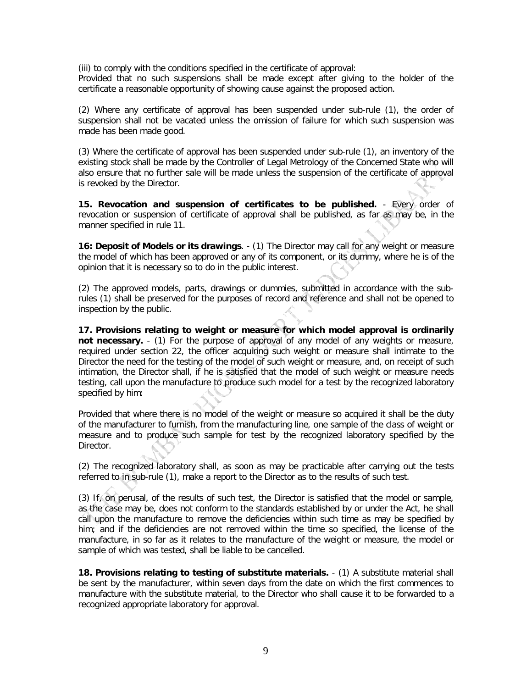(iii) to comply with the conditions specified in the certificate of approval:

Provided that no such suspensions shall be made except after giving to the holder of the certificate a reasonable opportunity of showing cause against the proposed action.

(2) Where any certificate of approval has been suspended under sub-rule (1), the order of suspension shall not be vacated unless the omission of failure for which such suspension was made has been made good.

(3) Where the certificate of approval has been suspended under sub-rule (1), an inventory of the existing stock shall be made by the Controller of Legal Metrology of the Concerned State who will also ensure that no further sale will be made unless the suspension of the certificate of approval is revoked by the Director.

**15. Revocation and suspension of certificates to be published.** - Every order of revocation or suspension of certificate of approval shall be published, as far as may be, in the manner specified in rule 11.

**16: Deposit of Models or its drawings**. - (1) The Director may call for any weight or measure the model of which has been approved or any of its component, or its dummy, where he is of the opinion that it is necessary so to do in the public interest.

(2) The approved models, parts, drawings or dummies, submitted in accordance with the subrules (1) shall be preserved for the purposes of record and reference and shall not be opened to inspection by the public.

**17. Provisions relating to weight or measure for which model approval is ordinarily not necessary.** - (1) For the purpose of approval of any model of any weights or measure, required under section 22, the officer acquiring such weight or measure shall intimate to the Director the need for the testing of the model of such weight or measure, and, on receipt of such intimation, the Director shall, if he is satisfied that the model of such weight or measure needs testing, call upon the manufacture to produce such model for a test by the recognized laboratory specified by him:

Provided that where there is no model of the weight or measure so acquired it shall be the duty of the manufacturer to furnish, from the manufacturing line, one sample of the class of weight or measure and to produce such sample for test by the recognized laboratory specified by the Director.

(2) The recognized laboratory shall, as soon as may be practicable after carrying out the tests referred to in sub-rule (1), make a report to the Director as to the results of such test.

(3) If, on perusal, of the results of such test, the Director is satisfied that the model or sample, as the case may be, does not conform to the standards established by or under the Act, he shall call upon the manufacture to remove the deficiencies within such time as may be specified by him; and if the deficiencies are not removed within the time so specified, the license of the manufacture, in so far as it relates to the manufacture of the weight or measure, the model or sample of which was tested, shall be liable to be cancelled.

**18. Provisions relating to testing of substitute materials.** - (1) A substitute material shall be sent by the manufacturer, within seven days from the date on which the first commences to manufacture with the substitute material, to the Director who shall cause it to be forwarded to a recognized appropriate laboratory for approval.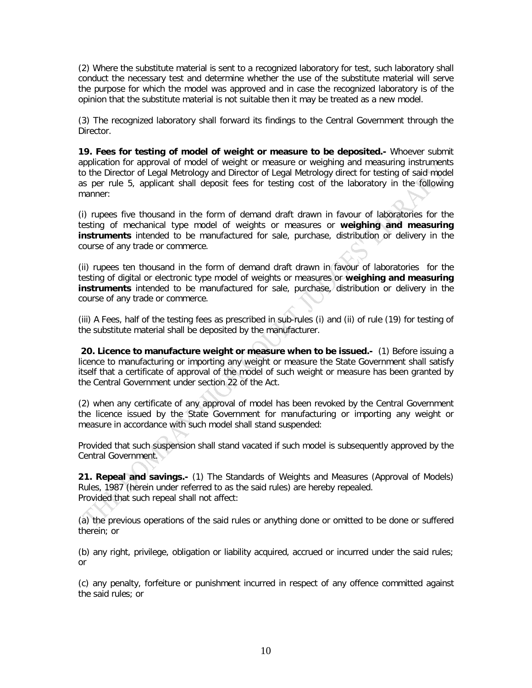(2) Where the substitute material is sent to a recognized laboratory for test, such laboratory shall conduct the necessary test and determine whether the use of the substitute material will serve the purpose for which the model was approved and in case the recognized laboratory is of the opinion that the substitute material is not suitable then it may be treated as a new model.

(3) The recognized laboratory shall forward its findings to the Central Government through the Director.

**19. Fees for testing of model of weight or measure to be deposited.-** Whoever submit application for approval of model of weight or measure or weighing and measuring instruments to the Director of Legal Metrology and Director of Legal Metrology direct for testing of said model as per rule 5, applicant shall deposit fees for testing cost of the laboratory in the following manner:

(i) rupees five thousand in the form of demand draft drawn in favour of laboratories for the testing of mechanical type model of weights or measures or **weighing and measuring instruments** intended to be manufactured for sale, purchase, distribution or delivery in the course of any trade or commerce.

(ii) rupees ten thousand in the form of demand draft drawn in favour of laboratories for the testing of digital or electronic type model of weights or measures or **weighing and measuring instruments** intended to be manufactured for sale, purchase, distribution or delivery in the course of any trade or commerce.

(iii) A Fees, half of the testing fees as prescribed in sub-rules (i) and (ii) of rule (19) for testing of the substitute material shall be deposited by the manufacturer.

**20. Licence to manufacture weight or measure when to be issued.-** (1) Before issuing a licence to manufacturing or importing any weight or measure the State Government shall satisfy itself that a certificate of approval of the model of such weight or measure has been granted by the Central Government under section 22 of the Act.

(2) when any certificate of any approval of model has been revoked by the Central Government the licence issued by the State Government for manufacturing or importing any weight or measure in accordance with such model shall stand suspended:

Provided that such suspension shall stand vacated if such model is subsequently approved by the Central Government.

**21. Repeal and savings.-** (1) The Standards of Weights and Measures (Approval of Models) Rules, 1987 (herein under referred to as the said rules) are hereby repealed. Provided that such repeal shall not affect:

(a) the previous operations of the said rules or anything done or omitted to be done or suffered therein; or

(b) any right, privilege, obligation or liability acquired, accrued or incurred under the said rules; or

(c) any penalty, forfeiture or punishment incurred in respect of any offence committed against the said rules; or